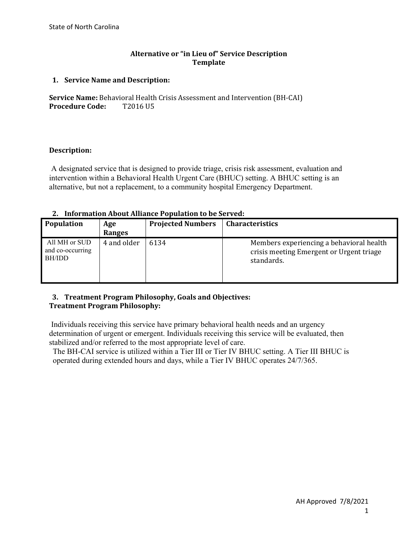### **Alternative or "in Lieu of" Service Description Template**

### **1. Service Name and Description:**

**Service Name:** Behavioral Health Crisis Assessment and Intervention (BH-CAI)<br>**Procedure Code:** T2016 U5 **Procedure Code:** 

### **Description:**

A designated service that is designed to provide triage, crisis risk assessment, evaluation and intervention within a Behavioral Health Urgent Care (BHUC) setting. A BHUC setting is an alternative, but not a replacement, to a community hospital Emergency Department.

### **2. Information About Alliance Population to be Served:**

| Population                                  | Age<br>Ranges | <b>Projected Numbers</b> | <b>Characteristics</b>                                                                             |
|---------------------------------------------|---------------|--------------------------|----------------------------------------------------------------------------------------------------|
| All MH or SUD<br>and co-occurring<br>BH/IDD | 4 and older   | 6134                     | Members experiencing a behavioral health<br>crisis meeting Emergent or Urgent triage<br>standards. |

### **3. Treatment Program Philosophy, Goals and Objectives: Treatment Program Philosophy:**

Individuals receiving this service have primary behavioral health needs and an urgency determination of urgent or emergent. Individuals receiving this service will be evaluated, then stabilized and/or referred to the most appropriate level of care.

The BH-CAI service is utilized within a Tier III or Tier IV BHUC setting. A Tier III BHUC is operated during extended hours and days, while a Tier IV BHUC operates 24/7/365.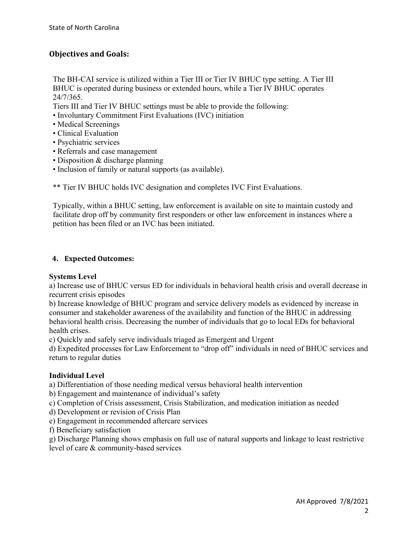# **Objectives and Goals:**

The BH-CAI service is utilized within a Tier III or Tier IV BHUC type setting. A Tier III BHUC is operated during business or extended hours, while a Tier IV BHUC operates 24/7/365.

Tiers III and Tier IV BHUC settings must be able to provide the following:

- Involuntary Commitment First Evaluations (IVC) initiation
- Medical Screenings
- Clinical Evaluation
- Psychiatric services
- Referrals and case management
- Disposition & discharge planning
- Inclusion of family or natural supports (as available).

\*\* Tier IV BHUC holds IVC designation and completes IVC First Evaluations.

Typically, within a BHUC setting, law enforcement is available on site to maintain custody and facilitate drop off by community first responders or other law enforcement in instances where a petition has been filed or an IVC has been initiated.

# **4. Expected Outcomes:**

### **Systems Level**

a) Increase use of BHUC versus ED for individuals in behavioral health crisis and overall decrease in recurrent crisis episodes

b) Increase knowledge of BHUC program and service delivery models as evidenced by increase in consumer and stakeholder awareness of the availability and function of the BHUC in addressing behavioral health crisis. Decreasing the number of individuals that go to local EDs for behavioral health crises.

c) Quickly and safely serve individuals triaged as Emergent and Urgent

d) Expedited processes for Law Enforcement to "drop off" individuals in need of BHUC services and return to regular duties

### **Individual Level**

a) Differentiation of those needing medical versus behavioral health intervention

b) Engagement and maintenance of individual's safety

c) Completion of Crisis assessment, Crisis Stabilization, and medication initiation as needed

- d) Development or revision of Crisis Plan
- e) Engagement in recommended aftercare services

f) Beneficiary satisfaction

g) Discharge Planning shows emphasis on full use of natural supports and linkage to least restrictive level of care & community-based services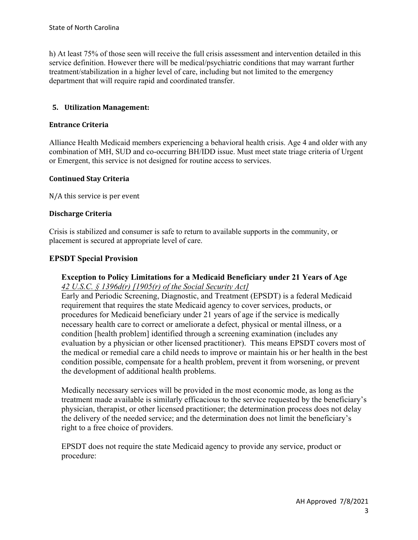h) At least 75% of those seen will receive the full crisis assessment and intervention detailed in this service definition. However there will be medical/psychiatric conditions that may warrant further treatment/stabilization in a higher level of care, including but not limited to the emergency department that will require rapid and coordinated transfer.

# **5. Utilization Management:**

#### **Entrance Criteria**

Alliance Health Medicaid members experiencing a behavioral health crisis. Age 4 and older with any combination of MH, SUD and co-occurring BH/IDD issue. Must meet state triage criteria of Urgent or Emergent, this service is not designed for routine access to services.

### **Continued Stay Criteria**

N/A this service is per event

#### **Discharge Criteria**

Crisis is stabilized and consumer is safe to return to available supports in the community, or placement is secured at appropriate level of care.

### **EPSDT Special Provision**

# **Exception to Policy Limitations for a Medicaid Beneficiary under 21 Years of Age**  *42 U.S.C. § 1396d(r) [1905(r) of the Social Security Act]*

Early and Periodic Screening, Diagnostic, and Treatment (EPSDT) is a federal Medicaid requirement that requires the state Medicaid agency to cover services, products, or procedures for Medicaid beneficiary under 21 years of age if the service is medically necessary health care to correct or ameliorate a defect, physical or mental illness, or a condition [health problem] identified through a screening examination (includes any evaluation by a physician or other licensed practitioner). This means EPSDT covers most of the medical or remedial care a child needs to improve or maintain his or her health in the best condition possible, compensate for a health problem, prevent it from worsening, or prevent the development of additional health problems.

Medically necessary services will be provided in the most economic mode, as long as the treatment made available is similarly efficacious to the service requested by the beneficiary's physician, therapist, or other licensed practitioner; the determination process does not delay the delivery of the needed service; and the determination does not limit the beneficiary's right to a free choice of providers.

EPSDT does not require the state Medicaid agency to provide any service, product or procedure: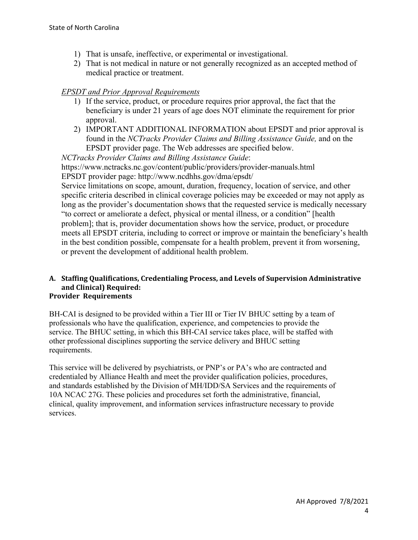- 1) That is unsafe, ineffective, or experimental or investigational.
- 2) That is not medical in nature or not generally recognized as an accepted method of medical practice or treatment.

# *EPSDT and Prior Approval Requirements*

- 1) If the service, product, or procedure requires prior approval, the fact that the beneficiary is under 21 years of age does NOT eliminate the requirement for prior approval.
- 2) IMPORTANT ADDITIONAL INFORMATION about EPSDT and prior approval is found in the *NCTracks Provider Claims and Billing Assistance Guide,* and on the EPSDT provider page. The Web addresses are specified below.

*NCTracks Provider Claims and Billing Assistance Guide*: https://www.nctracks.nc.gov/content/public/providers/provider-manuals.html EPSDT provider page: http://www.ncdhhs.gov/dma/epsdt/

Service limitations on scope, amount, duration, frequency, location of service, and other specific criteria described in clinical coverage policies may be exceeded or may not apply as long as the provider's documentation shows that the requested service is medically necessary "to correct or ameliorate a defect, physical or mental illness, or a condition" [health problem]; that is, provider documentation shows how the service, product, or procedure meets all EPSDT criteria, including to correct or improve or maintain the beneficiary's health in the best condition possible, compensate for a health problem, prevent it from worsening, or prevent the development of additional health problem.

#### **A. Staffing Qualifications, Credentialing Process, and Levels of Supervision Administrative and Clinical) Required: Provider Requirements**

BH-CAI is designed to be provided within a Tier III or Tier IV BHUC setting by a team of professionals who have the qualification, experience, and competencies to provide the service. The BHUC setting, in which this BH-CAI service takes place, will be staffed with other professional disciplines supporting the service delivery and BHUC setting requirements.

This service will be delivered by psychiatrists, or PNP's or PA's who are contracted and credentialed by Alliance Health and meet the provider qualification policies, procedures, and standards established by the Division of MH/IDD/SA Services and the requirements of 10A NCAC 27G. These policies and procedures set forth the administrative, financial, clinical, quality improvement, and information services infrastructure necessary to provide services.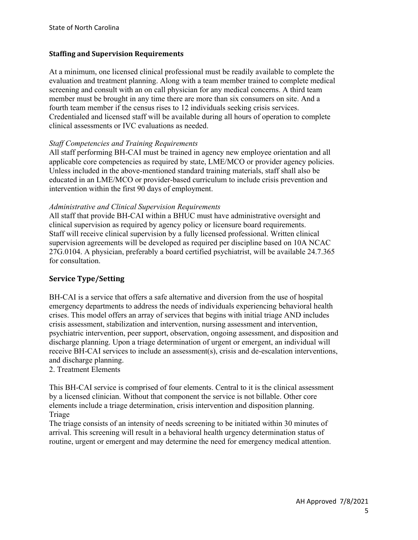### **Staffing and Supervision Requirements**

At a minimum, one licensed clinical professional must be readily available to complete the evaluation and treatment planning. Along with a team member trained to complete medical screening and consult with an on call physician for any medical concerns. A third team member must be brought in any time there are more than six consumers on site. And a fourth team member if the census rises to 12 individuals seeking crisis services. Credentialed and licensed staff will be available during all hours of operation to complete clinical assessments or IVC evaluations as needed.

# *Staff Competencies and Training Requirements*

All staff performing BH-CAI must be trained in agency new employee orientation and all applicable core competencies as required by state, LME/MCO or provider agency policies. Unless included in the above-mentioned standard training materials, staff shall also be educated in an LME/MCO or provider-based curriculum to include crisis prevention and intervention within the first 90 days of employment.

### *Administrative and Clinical Supervision Requirements*

All staff that provide BH-CAI within a BHUC must have administrative oversight and clinical supervision as required by agency policy or licensure board requirements. Staff will receive clinical supervision by a fully licensed professional. Written clinical supervision agreements will be developed as required per discipline based on 10A NCAC 27G.0104. A physician, preferably a board certified psychiatrist, will be available 24.7.365 for consultation.

# **Service Type/Setting**

BH-CAI is a service that offers a safe alternative and diversion from the use of hospital emergency departments to address the needs of individuals experiencing behavioral health crises. This model offers an array of services that begins with initial triage AND includes crisis assessment, stabilization and intervention, nursing assessment and intervention, psychiatric intervention, peer support, observation, ongoing assessment, and disposition and discharge planning. Upon a triage determination of urgent or emergent, an individual will receive BH-CAI services to include an assessment(s), crisis and de-escalation interventions, and discharge planning.

### 2. Treatment Elements

This BH-CAI service is comprised of four elements. Central to it is the clinical assessment by a licensed clinician. Without that component the service is not billable. Other core elements include a triage determination, crisis intervention and disposition planning. Triage

The triage consists of an intensity of needs screening to be initiated within 30 minutes of arrival. This screening will result in a behavioral health urgency determination status of routine, urgent or emergent and may determine the need for emergency medical attention.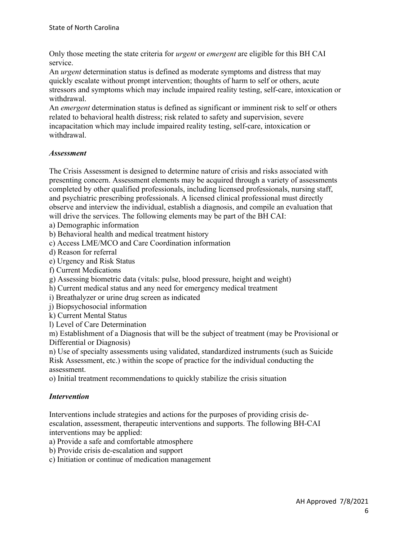Only those meeting the state criteria for *urgent* or *emergent* are eligible for this BH CAI service.

An *urgent* determination status is defined as moderate symptoms and distress that may quickly escalate without prompt intervention; thoughts of harm to self or others, acute stressors and symptoms which may include impaired reality testing, self-care, intoxication or withdrawal.

An *emergent* determination status is defined as significant or imminent risk to self or others related to behavioral health distress; risk related to safety and supervision, severe incapacitation which may include impaired reality testing, self-care, intoxication or withdrawal.

# *Assessment*

The Crisis Assessment is designed to determine nature of crisis and risks associated with presenting concern. Assessment elements may be acquired through a variety of assessments completed by other qualified professionals, including licensed professionals, nursing staff, and psychiatric prescribing professionals. A licensed clinical professional must directly observe and interview the individual, establish a diagnosis, and compile an evaluation that will drive the services. The following elements may be part of the BH CAI:

a) Demographic information

b) Behavioral health and medical treatment history

c) Access LME/MCO and Care Coordination information

d) Reason for referral

e) Urgency and Risk Status

f) Current Medications

g) Assessing biometric data (vitals: pulse, blood pressure, height and weight)

h) Current medical status and any need for emergency medical treatment

i) Breathalyzer or urine drug screen as indicated

j) Biopsychosocial information

k) Current Mental Status

l) Level of Care Determination

m) Establishment of a Diagnosis that will be the subject of treatment (may be Provisional or Differential or Diagnosis)

n) Use of specialty assessments using validated, standardized instruments (such as Suicide Risk Assessment, etc.) within the scope of practice for the individual conducting the assessment.

o) Initial treatment recommendations to quickly stabilize the crisis situation

### *Intervention*

Interventions include strategies and actions for the purposes of providing crisis deescalation, assessment, therapeutic interventions and supports. The following BH-CAI interventions may be applied:

a) Provide a safe and comfortable atmosphere

- b) Provide crisis de-escalation and support
- c) Initiation or continue of medication management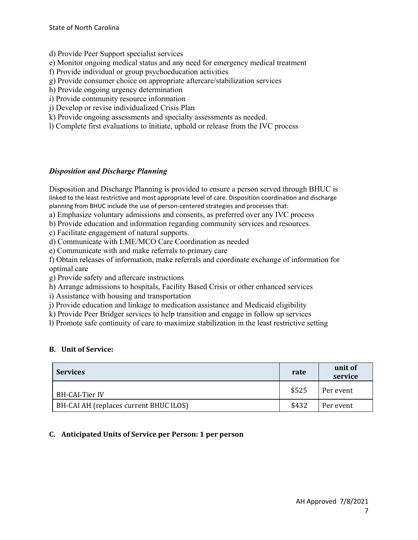- d) Provide Peer Support specialist services
- e) Monitor ongoing medical status and any need for emergency medical treatment
- f) Provide individual or group psychoeducation activities
- g) Provide consumer choice on appropriate aftercare/stabilization services
- h) Provide ongoing urgency determination
- i) Provide community resource information
- j) Develop or revise individualized Crisis Plan
- k) Provide ongoing assessments and specialty assessments as needed.
- l) Complete first evaluations to initiate, uphold or release from the IVC process

# *Disposition and Discharge Planning*

Disposition and Discharge Planning is provided to ensure a person served through BHUC is linked to the least restrictive and most appropriate level of care. Disposition coordination and discharge planning from BHUC include the use of person-centered strategies and processes that:

a) Emphasize voluntary admissions and consents, as preferred over any IVC process

b) Provide education and information regarding community services and resources.

c) Facilitate engagement of natural supports.

d) Communicate with LME/MCO Care Coordination as needed

e) Communicate with and make referrals to primary care

f) Obtain releases of information, make referrals and coordinate exchange of information for optimal care

g) Provide safety and aftercare instructions

h) Arrange admissions to hospitals, Facility Based Crisis or other enhanced services

i) Assistance with housing and transportation

j) Provide education and linkage to medication assistance and Medicaid eligibility

k) Provide Peer Bridger services to help transition and engage in follow up services

l) Promote safe continuity of care to maximize stabilization in the least restrictive setting

### **B. Unit of Service:**

| <b>Services</b>                        | rate  | unit of<br>service |
|----------------------------------------|-------|--------------------|
| BH-CAI-Tier IV                         | \$525 | Per event          |
| BH-CAI AH (replaces current BHUC ILOS) | \$432 | Per event          |

### **C. Anticipated Units of Service per Person: 1 per person**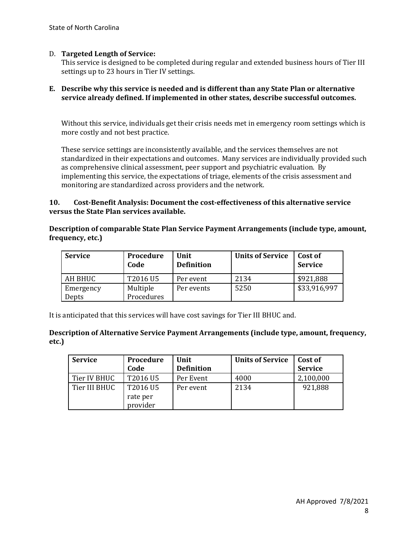### D. **Targeted Length of Service:**

This service is designed to be completed during regular and extended business hours of Tier III settings up to 23 hours in Tier IV settings.

#### **E. Describe why this service is needed and is different than any State Plan or alternative service already defined. If implemented in other states, describe successful outcomes.**

Without this service, individuals get their crisis needs met in emergency room settings which is more costly and not best practice.

These service settings are inconsistently available, and the services themselves are not standardized in their expectations and outcomes. Many services are individually provided such as comprehensive clinical assessment, peer support and psychiatric evaluation. By implementing this service, the expectations of triage, elements of the crisis assessment and monitoring are standardized across providers and the network.

#### **10. Cost-Benefit Analysis: Document the cost-effectiveness of this alternative service versus the State Plan services available.**

### **Description of comparable State Plan Service Payment Arrangements (include type, amount, frequency, etc.)**

| <b>Service</b>     | Procedure<br>Code      | Unit<br><b>Definition</b> | <b>Units of Service</b> | Cost of<br><b>Service</b> |
|--------------------|------------------------|---------------------------|-------------------------|---------------------------|
| AH BHUC            | T2016 U5               | Per event                 | 2134                    | \$921,888                 |
| Emergency<br>Depts | Multiple<br>Procedures | Per events                | 5250                    | \$33,916,997              |

It is anticipated that this services will have cost savings for Tier III BHUC and.

#### **Description of Alternative Service Payment Arrangements (include type, amount, frequency, etc.)**

| <b>Service</b> | Procedure            | Unit              | <b>Units of Service</b> | Cost of        |
|----------------|----------------------|-------------------|-------------------------|----------------|
|                | Code                 | <b>Definition</b> |                         | <b>Service</b> |
| Tier IV BHUC   | T2016 U5             | Per Event         | 4000                    | 2,100,000      |
| Tier III BHUC  | T2016 U5             | Per event         | 2134                    | 921,888        |
|                | rate per<br>provider |                   |                         |                |